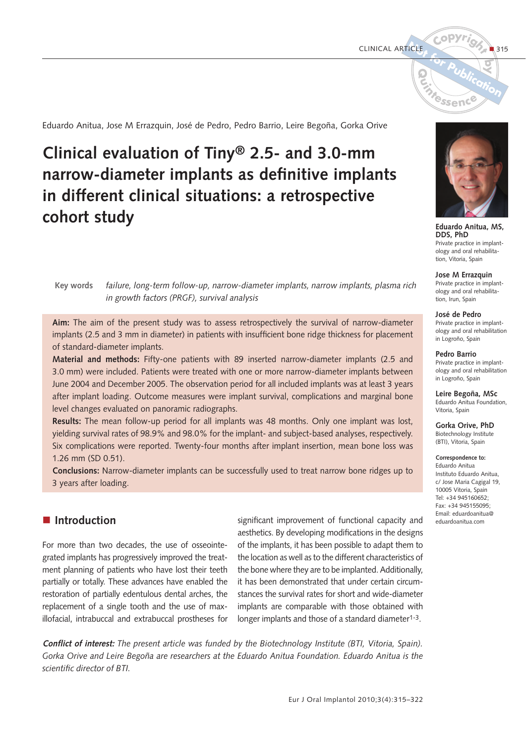



Eduardo Anitua, Jose M Errazquin, José de Pedro, Pedro Barrio, Leire Begoña, Gorka Orive

# **Clinical evaluation of Tiny® 2.5- and 3.0-mm narrow-diameter implants as definitive implants in different clinical situations: a retrospective cohort study**

**Key words** *failure, long-term follow-up, narrow-diameter implants, narrow implants, plasma rich in growth factors (PRGF), survival analysis*

**Aim:** The aim of the present study was to assess retrospectively the survival of narrow-diameter implants (2.5 and 3 mm in diameter) in patients with insufficient bone ridge thickness for placement of standard-diameter implants.

**Material and methods:** Fifty-one patients with 89 inserted narrow-diameter implants (2.5 and 3.0 mm) were included. Patients were treated with one or more narrow-diameter implants between June 2004 and December 2005. The observation period for all included implants was at least 3 years after implant loading. Outcome measures were implant survival, complications and marginal bone level changes evaluated on panoramic radiographs.

**Results:** The mean follow-up period for all implants was 48 months. Only one implant was lost, yielding survival rates of 98.9% and 98.0% for the implant- and subject-based analyses, respectively. Six complications were reported. Twenty-four months after implant insertion, mean bone loss was 1.26 mm (SD 0.51).

**Conclusions:** Narrow-diameter implants can be successfully used to treat narrow bone ridges up to 3 years after loading.

# $\blacksquare$  Introduction

For more than two decades, the use of osseointegrated implants has progressively improved the treatment planning of patients who have lost their teeth partially or totally. These advances have enabled the restoration of partially edentulous dental arches, the replacement of a single tooth and the use of maxillofacial, intrabuccal and extrabuccal prostheses for significant improvement of functional capacity and aesthetics. By developing modifications in the designs of the implants, it has been possible to adapt them to the location as well as to the different characteristics of the bone where they are to be implanted. Additionally, it has been demonstrated that under certain circumstances the survival rates for short and wide-diameter implants are comparable with those obtained with longer implants and those of a standard diameter<sup>1-3</sup>.

**Conflict of interest:** *The present article was funded by the Biotechnology Institute (BTI, Vitoria, Spain). Gorka Orive and Leire Begoña are researchers at the Eduardo Anitua Foundation. Eduardo Anitua is the scientific director of BTI.* 



**Eduardo Anitua, MS, DDS, PhD** Private practice in implantology and oral rehabilitation, Vitoria, Spain

**Jose M Errazquin** 

Private practice in implantology and oral rehabilitation, Irun, Spain

### **José de Pedro**

Private practice in implantology and oral rehabilitation in Logroño, Spain

### **Pedro Barrio**

Private practice in implantology and oral rehabilitation in Logroño, Spain

**Leire Begoña, MSc** Eduardo Anitua Foundation, Vitoria, Spain

**Gorka Orive, PhD** 

Biotechnology Institute (BTI), Vitoria, Spain

### **Correspondence to:**

Eduardo Anitua Instituto Eduardo Anitua, c/ Jose Maria Cagigal 19, 10005 Vitoria, Spain Tel: +34 945160652; Fax: +34 945155095; Email: eduardoanitua@ eduardoanitua.com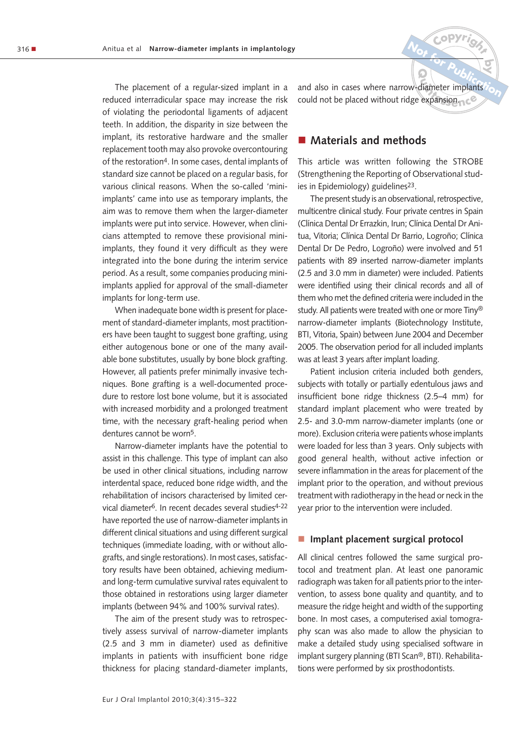The placement of a regular-sized implant in a reduced interradicular space may increase the risk of violating the periodontal ligaments of adjacent teeth. In addition, the disparity in size between the implant, its restorative hardware and the smaller replacement tooth may also provoke overcontouring of the restoration4. In some cases, dental implants of standard size cannot be placed on a regular basis, for various clinical reasons. When the so-called 'miniimplants' came into use as temporary implants, the aim was to remove them when the larger-diameter implants were put into service. However, when clinicians attempted to remove these provisional miniimplants, they found it very difficult as they were integrated into the bone during the interim service period. As a result, some companies producing miniimplants applied for approval of the small-diameter implants for long-term use.

When inadequate bone width is present for placement of standard-diameter implants, most practitioners have been taught to suggest bone grafting, using either autogenous bone or one of the many available bone substitutes, usually by bone block grafting. However, all patients prefer minimally invasive techniques. Bone grafting is a well-documented procedure to restore lost bone volume, but it is associated with increased morbidity and a prolonged treatment time, with the necessary graft-healing period when dentures cannot be worn5.

Narrow-diameter implants have the potential to assist in this challenge. This type of implant can also be used in other clinical situations, including narrow interdental space, reduced bone ridge width, and the rehabilitation of incisors characterised by limited cervical diameter6. In recent decades several studies4-22 have reported the use of narrow-diameter implants in different clinical situations and using different surgical techniques (immediate loading, with or without allografts, and single restorations). In most cases, satisfactory results have been obtained, achieving mediumand long-term cumulative survival rates equivalent to those obtained in restorations using larger diameter implants (between 94% and 100% survival rates).

The aim of the present study was to retrospectively assess survival of narrow-diameter implants (2.5 and 3 mm in diameter) used as definitive implants in patients with insufficient bone ridge thickness for placing standard-diameter implants,

**h**ood<br>**r** *o***f**<br>**of**<br>**of**<br>**of**<br>**of Could not be placed without ridge expansion.** and also in cases where narrow-diameter implants<sup>ti</sup>on

**<sup>C</sup>opyrigh<sup>t</sup>**

 **for**

**by**

# $\blacksquare$  Materials and methods

This article was written following the STROBE (Strengthening the Reporting of Observational studies in Epidemiology) guidelines<sup>23</sup>.

The present study is an observational, retrospective, multicentre clinical study. Four private centres in Spain (Clínica Dental Dr Errazkin, Irun; Clínica Dental Dr Anitua, Vitoria; Clínica Dental Dr Barrio, Logroño; Clínica Dental Dr De Pedro, Logroño) were involved and 51 patients with 89 inserted narrow-diameter implants (2.5 and 3.0 mm in diameter) were included. Patients were identified using their clinical records and all of them who met the defined criteria were included in the study. All patients were treated with one or more Tiny® narrow-diameter implants (Biotechnology Institute, BTI, Vitoria, Spain) between June 2004 and December 2005. The observation period for all included implants was at least 3 years after implant loading.

Patient inclusion criteria included both genders, subjects with totally or partially edentulous jaws and insufficient bone ridge thickness (2.5–4 mm) for standard implant placement who were treated by 2.5- and 3.0-mm narrow-diameter implants (one or more). Exclusion criteria were patients whose implants were loaded for less than 3 years. Only subjects with good general health, without active infection or severe inflammation in the areas for placement of the implant prior to the operation, and without previous treatment with radiotherapy in the head or neck in the year prior to the intervention were included.

### $\blacksquare$  Implant placement surgical protocol

All clinical centres followed the same surgical protocol and treatment plan. At least one panoramic radiograph was taken for all patients prior to the intervention, to assess bone quality and quantity, and to measure the ridge height and width of the supporting bone. In most cases, a computerised axial tomography scan was also made to allow the physician to make a detailed study using specialised software in implant surgery planning (BTI Scan®, BTI). Rehabilitations were performed by six prosthodontists.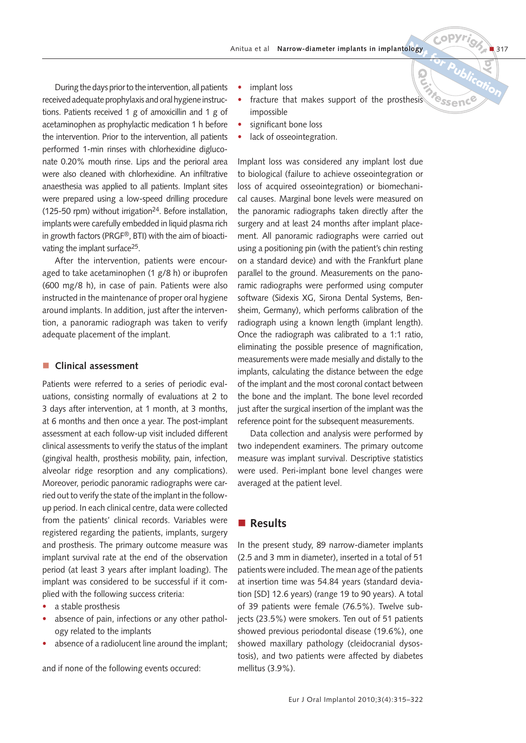**<sup>C</sup>opyrigh<sup>t</sup>**

 **for**

**<sup>N</sup>o<sup>t</sup> <sup>r</sup> <sup>o</sup>f**

 **Publication**

**by**

-317

During the days prior to the intervention, all patients received adequate prophylaxis and oral hygiene instructions. Patients received 1 g of amoxicillin and 1 g of acetaminophen as prophylactic medication 1 h before the intervention. Prior to the intervention, all patients performed 1-min rinses with chlorhexidine digluconate 0.20% mouth rinse. Lips and the perioral area were also cleaned with chlorhexidine. An infiltrative anaesthesia was applied to all patients. Implant sites were prepared using a low-speed drilling procedure (125-50 rpm) without irrigation24. Before installation, implants were carefully embedded in liquid plasma rich in growth factors (PRGF®, BTI) with the aim of bioactivating the implant surface25.

After the intervention, patients were encouraged to take acetaminophen (1 g/8 h) or ibuprofen (600 mg/8 h), in case of pain. Patients were also instructed in the maintenance of proper oral hygiene around implants. In addition, just after the intervention, a panoramic radiograph was taken to verify adequate placement of the implant.

#### -**Clinical assessment**

Patients were referred to a series of periodic evaluations, consisting normally of evaluations at 2 to 3 days after intervention, at 1 month, at 3 months, at 6 months and then once a year. The post-implant assessment at each follow-up visit included different clinical assessments to verify the status of the implant (gingival health, prosthesis mobility, pain, infection, alveolar ridge resorption and any complications). Moreover, periodic panoramic radiographs were carried out to verify the state of the implant in the followup period. In each clinical centre, data were collected from the patients' clinical records. Variables were registered regarding the patients, implants, surgery and prosthesis. The primary outcome measure was implant survival rate at the end of the observation period (at least 3 years after implant loading). The implant was considered to be successful if it complied with the following success criteria:

- a stable prosthesis
- absence of pain, infections or any other pathology related to the implants
- absence of a radiolucent line around the implant;

and if none of the following events occured:

- implant loss
- **<sup>Q</sup>uintessenc<sup>e</sup>** • fracture that makes support of the prosthesis impossible
- significant bone loss
- lack of osseointegration.

Implant loss was considered any implant lost due to biological (failure to achieve osseointegration or loss of acquired osseointegration) or biomechanical causes. Marginal bone levels were measured on the panoramic radiographs taken directly after the surgery and at least 24 months after implant placement. All panoramic radiographs were carried out using a positioning pin (with the patient's chin resting on a standard device) and with the Frankfurt plane parallel to the ground. Measurements on the panoramic radiographs were performed using computer software (Sidexis XG, Sirona Dental Systems, Bensheim, Germany), which performs calibration of the radiograph using a known length (implant length). Once the radiograph was calibrated to a 1:1 ratio, eliminating the possible presence of magnification, measurements were made mesially and distally to the implants, calculating the distance between the edge of the implant and the most coronal contact between the bone and the implant. The bone level recorded just after the surgical insertion of the implant was the reference point for the subsequent measurements.

Data collection and analysis were performed by two independent examiners. The primary outcome measure was implant survival. Descriptive statistics were used. Peri-implant bone level changes were averaged at the patient level.

# **Results**

In the present study, 89 narrow-diameter implants (2.5 and 3 mm in diameter), inserted in a total of 51 patients were included. The mean age of the patients at insertion time was 54.84 years (standard deviation [SD] 12.6 years) (range 19 to 90 years). A total of 39 patients were female (76.5%). Twelve subjects (23.5%) were smokers. Ten out of 51 patients showed previous periodontal disease (19.6%), one showed maxillary pathology (cleidocranial dysostosis), and two patients were affected by diabetes mellitus (3.9%).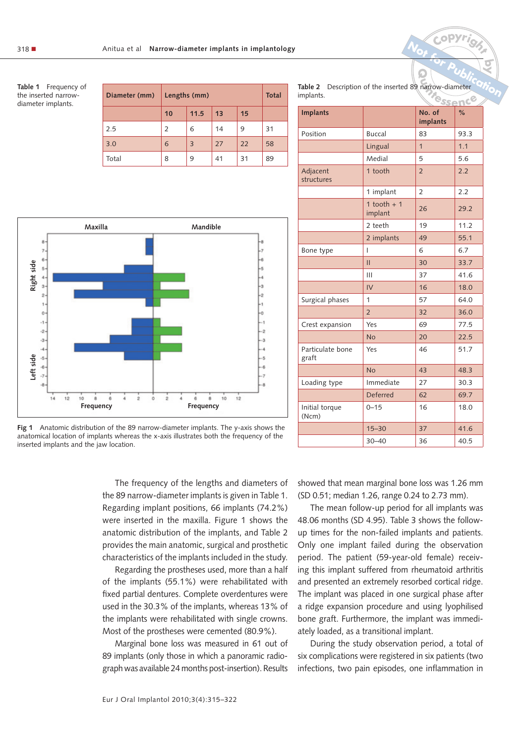**Table 1** Frequency of the inserted narrowdiameter implants.

| Diameter (mm) | Lengths (mm) | <b>Total</b> |    |    |    |
|---------------|--------------|--------------|----|----|----|
|               | 10           | 11.5         | 13 | 15 |    |
| 2.5           | 2            | 6            | 14 | 9  | 31 |
| 3.0           | 6            | 3            | 27 | 22 | 58 |
| Total         | 8            | 9            | 41 | 31 | 89 |

**Implants**  $\vert$  **No. of implants %**  Position | Buccal | 83 | 93.3 Lingual  $\vert 1 \vert$  1.1 Medial  $\begin{array}{|c|c|c|c|c|} \hline 5 & 5.6 \\ \hline \end{array}$ Adjacent structures 1 tooth  $\vert$  2  $\vert$  2.2 1 implant  $\begin{array}{|c|c|c|c|c|c|c|c|c|} \hline 2.2 & 2.2 \\ \hline \end{array}$ 1 tooth  $+1$  $\begin{array}{c|c}\n\text{1 tooth} + 1 & 26 \\
\text{implant} & 29.2\n\end{array}$ 2 teeth 19 11.2 2 implants 49 55.1 Bone type  $\begin{array}{ccc} \hline \end{array}$   $\begin{array}{ccc} \hline \end{array}$   $\begin{array}{ccc} \hline \end{array}$  6.7  $\vert$  30  $\vert$  33.7 III  $|37|$  41.6  $IV$  | 16 | 18.0 Surgical phases  $\begin{vmatrix} 1 & 57 & 64.0 \end{vmatrix}$ 2  $32$  36.0 Crest expansion Yes 69 77.5 No 20 22.5 Particulate bone graft Yes | 46 | 51.7 No 43 48.3 Loading type  $\vert$  Immediate 27  $\vert$  30.3 Deferred  $\begin{array}{|c|c|c|c|c|c|c|c|c|} \hline \text{Deferred} & \text{62} & \text{69.7} \hline \end{array}$ Initial torque (Ncm) 0–15 16 18.0 15–30 37 41.6

 $\circ$  $\ddot{\phantom{0}}$  $\ddot{\phantom{a}}$ s  $\ddot{\circ}$ eft side  $\ddot{\theta}$  $\overline{12}$ 10 10  $12$ **Frequency Frequency**

**Fig 1** Anatomic distribution of the 89 narrow-diameter implants. The y-axis shows the anatomical location of implants whereas the x-axis illustrates both the frequency of the inserted implants and the jaw location.

The frequency of the lengths and diameters of the 89 narrow-diameter implants is given in Table 1. Regarding implant positions, 66 implants (74.2%) were inserted in the maxilla. Figure 1 shows the anatomic distribution of the implants, and Table 2 provides the main anatomic, surgical and prosthetic characteristics of the implants included in the study.

Regarding the prostheses used, more than a half of the implants (55.1%) were rehabilitated with fixed partial dentures. Complete overdentures were used in the 30.3% of the implants, whereas 13% of the implants were rehabilitated with single crowns. Most of the prostheses were cemented (80.9%).

Marginal bone loss was measured in 61 out of 89 implants (only those in which a panoramic radiograph was available 24 months post-insertion). Results

showed that mean marginal bone loss was 1.26 mm (SD 0.51; median 1.26, range 0.24 to 2.73 mm).

30–40 36 40.5

The mean follow-up period for all implants was 48.06 months (SD 4.95). Table 3 shows the followup times for the non-failed implants and patients. Only one implant failed during the observation period. The patient (59-year-old female) receiving this implant suffered from rheumatoid arthritis and presented an extremely resorbed cortical ridge. The implant was placed in one surgical phase after a ridge expansion procedure and using lyophilised bone graft. Furthermore, the implant was immediately loaded, as a transitional implant.

During the study observation period, a total of six complications were registered in six patients (two infections, two pain episodes, one inflammation in

 $318$ 



Table 2 Description of the inserted 89 narrow-diameter Control in the implants. implants.

**<sup>C</sup>opyrigh<sup>t</sup>**

 **for**

**by**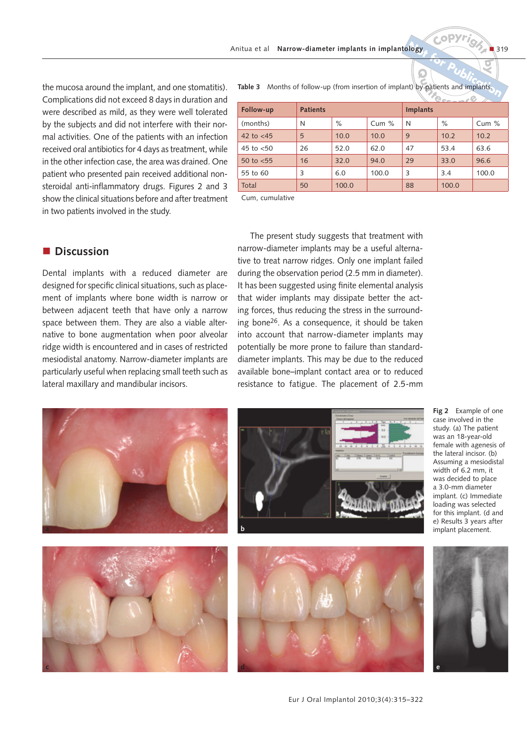the mucosa around the implant, and one stomatitis). Complications did not exceed 8 days in duration and were described as mild, as they were well tolerated by the subjects and did not interfere with their normal activities. One of the patients with an infection received oral antibiotics for 4 days as treatment, while in the other infection case, the area was drained. One patient who presented pain received additional nonsteroidal anti-inflammatory drugs. Figures 2 and 3 show the clinical situations before and after treatment in two patients involved in the study.

| Eollow up                                                                         |  | <b>Dationte</b> |  |
|-----------------------------------------------------------------------------------|--|-----------------|--|
| Table 3 Months of follow-up (from insertion of implant) by patients and implants. |  |                 |  |

| Follow-up    | <b>Patients</b> |       |         | <b>Implants</b> |       |         |
|--------------|-----------------|-------|---------|-----------------|-------|---------|
| (months)     | N               | $\%$  | Cum $%$ | N               | $\%$  | Cum $%$ |
| 42 to $<$ 45 | 5               | 10.0  | 10.0    | 9               | 10.2  | 10.2    |
| 45 to $< 50$ | 26              | 52.0  | 62.0    | 47              | 53.4  | 63.6    |
| 50 to $< 55$ | 16              | 32.0  | 94.0    | 29              | 33.0  | 96.6    |
| 55 to 60     | 3               | 6.0   | 100.0   | 3               | 3.4   | 100.0   |
| Total        | 50              | 100.0 |         | 88              | 100.0 |         |

Cum, cumulative

# $\blacksquare$  Discussion

Dental implants with a reduced diameter are designed for specific clinical situations, such as placement of implants where bone width is narrow or between adjacent teeth that have only a narrow space between them. They are also a viable alternative to bone augmentation when poor alveolar ridge width is encountered and in cases of restricted mesiodistal anatomy. Narrow-diameter implants are particularly useful when replacing small teeth such as lateral maxillary and mandibular incisors.

The present study suggests that treatment with narrow-diameter implants may be a useful alternative to treat narrow ridges. Only one implant failed during the observation period (2.5 mm in diameter). It has been suggested using finite elemental analysis that wider implants may dissipate better the acting forces, thus reducing the stress in the surrounding bone26. As a consequence, it should be taken into account that narrow-diameter implants may potentially be more prone to failure than standarddiameter implants. This may be due to the reduced available bone–implant contact area or to reduced resistance to fatigue. The placement of 2.5-mm





**Fig 2** Example of one case involved in the study. (a) The patient was an 18-year-old female with agenesis of the lateral incisor. (b) Assuming a mesiodistal width of 6.2 mm, it was decided to place a 3.0-mm diameter implant. (c) Immediate loading was selected for this implant. (d and e) Results 3 years after implant placement.

**<sup>C</sup>opyrigh<sup>t</sup>**

 **for**

**by**

-319

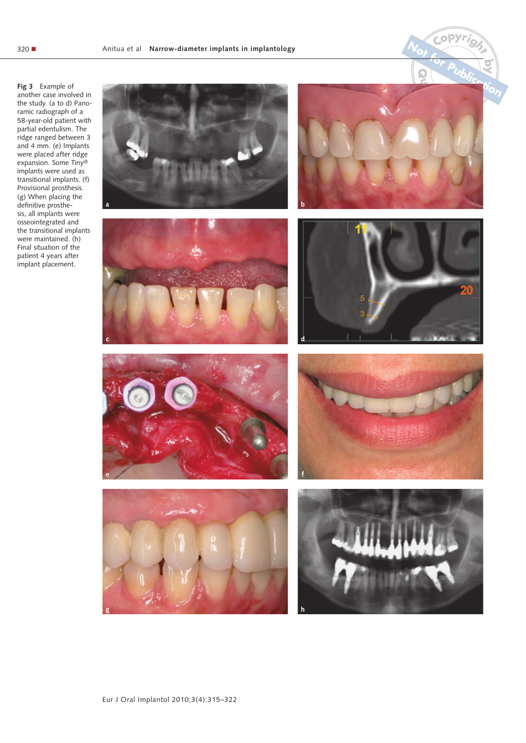**Fig 3** Example of another case involved in the study. (a to d) Panoramic radiograph of a 58-year-old patient with partial edentulism. The ridge ranged between 3 and 4 mm. (e) Implants were placed after ridge expansion. Some Tiny® implants were used as transitional implants. (f) Provisional prosthesis. (g) When placing the definitive prosthesis, all implants were osseointegrated and the transitional implants were maintained. (h) Final situation of the patient 4 years after implant placement.



**<sup>C</sup>opyrigh<sup>t</sup>**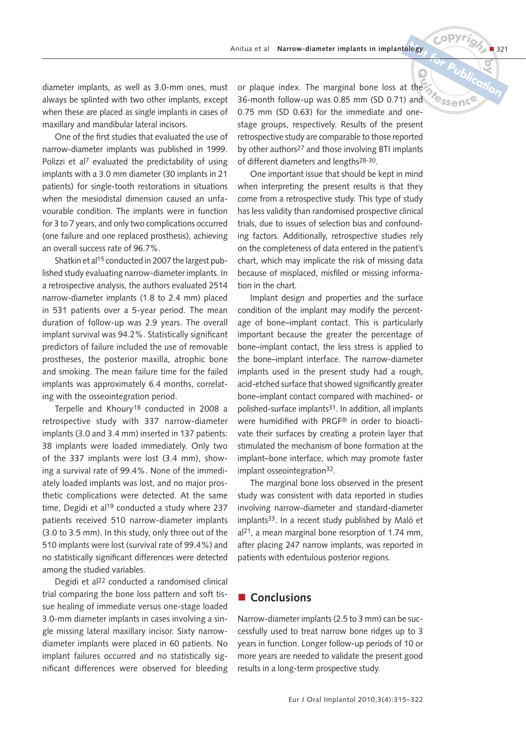diameter implants, as well as 3.0-mm ones, must always be splinted with two other implants, except when these are placed as single implants in cases of maxillary and mandibular lateral incisors.

One of the first studies that evaluated the use of narrow-diameter implants was published in 1999. Polizzi et al<sup>7</sup> evaluated the predictability of using implants with a 3.0 mm diameter (30 implants in 21 patients) for single-tooth restorations in situations when the mesiodistal dimension caused an unfavourable condition. The implants were in function for 3 to 7 years, and only two complications occurred (one failure and one replaced prosthesis), achieving an overall success rate of 96.7%.

Shatkin et al<sup>15</sup> conducted in 2007 the largest published study evaluating narrow-diameter implants. In a retrospective analysis, the authors evaluated 2514 narrow-diameter implants (1.8 to 2.4 mm) placed in 531 patients over a 5-year period. The mean duration of follow-up was 2.9 years. The overall implant survival was 94.2%. Statistically significant predictors of failure included the use of removable prostheses, the posterior maxilla, atrophic bone and smoking. The mean failure time for the failed implants was approximately 6.4 months, correlating with the osseointegration period.

Terpelle and Khoury<sup>18</sup> conducted in 2008 a retrospective study with 337 narrow-diameter implants (3.0 and 3.4 mm) inserted in 137 patients: 38 implants were loaded immediately. Only two of the 337 implants were lost (3.4 mm), showing a survival rate of 99.4%. None of the immediately loaded implants was lost, and no major prosthetic complications were detected. At the same time, Degidi et al<sup>19</sup> conducted a study where 237 patients received 510 narrow-diameter implants (3.0 to 3.5 mm). In this study, only three out of the 510 implants were lost (survival rate of 99.4%) and no statistically significant differences were detected among the studied variables.

Degidi et al22 conducted a randomised clinical trial comparing the bone loss pattern and soft tissue healing of immediate versus one-stage loaded 3.0-mm diameter implants in cases involving a single missing lateral maxillary incisor. Sixty narrowdiameter implants were placed in 60 patients. No implant failures occurred and no statistically significant differences were observed for bleeding or plaque index. The marginal bone loss at the 36-month follow-up was 0.85 mm (SD 0.71) and 0.75 mm (SD 0.63) for the immediate and onestage groups, respectively. Results of the present retrospective study are comparable to those reported by other authors<sup>27</sup> and those involving BTI implants of different diameters and lengths28-30.

One important issue that should be kept in mind when interpreting the present results is that they come from a retrospective study. This type of study has less validity than randomised prospective clinical trials, due to issues of selection bias and confounding factors. Additionally, retrospective studies rely on the completeness of data entered in the patient's chart, which may implicate the risk of missing data because of misplaced, misfiled or missing information in the chart.

Implant design and properties and the surface condition of the implant may modify the percentage of bone–implant contact. This is particularly important because the greater the percentage of bone–implant contact, the less stress is applied to the bone–implant interface. The narrow-diameter implants used in the present study had a rough, acid-etched surface that showed significantly greater bone–implant contact compared with machined- or polished-surface implants31. In addition, all implants were humidified with PRGF® in order to bioactivate their surfaces by creating a protein layer that stimulated the mechanism of bone formation at the implant–bone interface, which may promote faster implant osseointegration<sup>32</sup>.

The marginal bone loss observed in the present study was consistent with data reported in studies involving narrow-diameter and standard-diameter implants33. In a recent study published by Maló et  $al<sup>21</sup>$ , a mean marginal bone resorption of 1.74 mm, after placing 247 narrow implants, was reported in patients with edentulous posterior regions.

# **E** Conclusions

Narrow-diameter implants (2.5 to 3 mm) can be successfully used to treat narrow bone ridges up to 3 years in function. Longer follow-up periods of 10 or more years are needed to validate the present good results in a long-term prospective study.



**<sup>C</sup>opyrigh<sup>t</sup>**

-321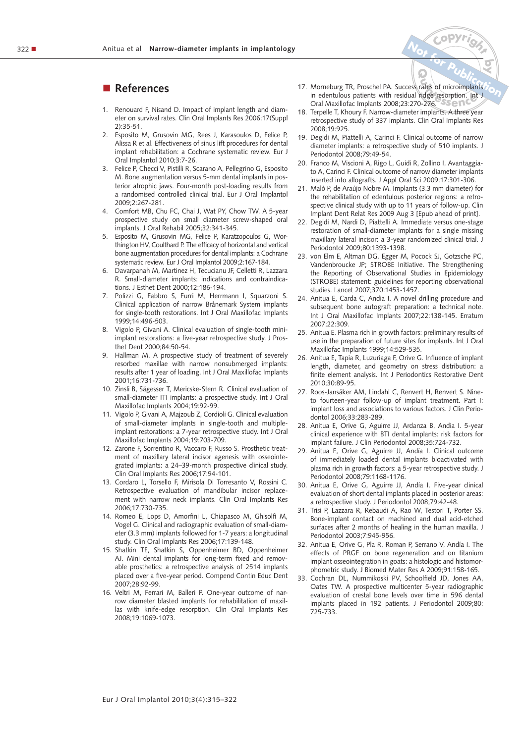# **References**

- 1. Renouard F, Nisand D. Impact of implant length and diameter on survival rates. Clin Oral Implants Res 2006;17(Suppl 2):35-51.
- 2. Esposito M, Grusovin MG, Rees J, Karasoulos D, Felice P, Alissa R et al. Effectiveness of sinus lift procedures for dental implant rehabilitation: a Cochrane systematic review. Eur J Oral Implantol 2010;3:7-26.
- 3. Felice P, Checci V, Pistilli R, Scarano A, Pellegrino G, Esposito M. Bone augmentation versus 5-mm dental implants in posterior atrophic jaws. Four-month post-loading results from a randomised controlled clinical trial. Eur J Oral Implantol 2009;2:267-281.
- 4. Comfort MB, Chu FC, Chai J, Wat PY, Chow TW. A 5-year prospective study on small diameter screw-shaped oral implants. J Oral Rehabil 2005;32:341-345.
- 5. Esposito M, Grusovin MG, Felice P, Karatzopoulos G, Worthington HV, Coulthard P. The efficacy of horizontal and vertical bone augmentation procedures for dental implants: a Cochrane systematic review. Eur J Oral Implantol 2009;2:167-184.
- 6. Davarpanah M, Martinez H, Tecucianu JF, Celletti R, Lazzara R. Small-diameter implants: indications and contraindications. J Esthet Dent 2000;12:186-194.
- 7. Polizzi G, Fabbro S, Furri M, Herrmann I, Squarzoni S. Clinical application of narrow Brånemark System implants for single-tooth restorations. Int J Oral Maxillofac Implants 1999;14:496-503.
- 8. Vigolo P, Givani A. Clinical evaluation of single-tooth miniimplant restorations: a five-year retrospective study. J Prosthet Dent 2000;84:50-54.
- 9. Hallman M. A prospective study of treatment of severely resorbed maxillae with narrow nonsubmerged implants: results after 1 year of loading. Int J Oral Maxillofac Implants 2001;16:731-736.
- 10. Zinsli B, Sägesser T, Mericske-Stern R. Clinical evaluation of small-diameter ITI implants: a prospective study. Int J Oral Maxillofac Implants 2004;19:92-99.
- 11. Vigolo P, Givani A, Majzoub Z, Cordioli G. Clinical evaluation of small-diameter implants in single-tooth and multipleimplant restorations: a 7-year retrospective study. Int J Oral Maxillofac Implants 2004;19:703-709.
- 12. Zarone F, Sorrentino R, Vaccaro F, Russo S. Prosthetic treatment of maxillary lateral incisor agenesis with osseointegrated implants: a 24–39-month prospective clinical study. Clin Oral Implants Res 2006;17:94-101.
- 13. Cordaro L, Torsello F, Mirisola Di Torresanto V, Rossini C. Retrospective evaluation of mandibular incisor replacement with narrow neck implants. Clin Oral Implants Res 2006;17:730-735.
- 14. Romeo E, Lops D, Amorfini L, Chiapasco M, Ghisolfi M, Vogel G. Clinical and radiographic evaluation of small-diameter (3.3 mm) implants followed for 1-7 years: a longitudinal study. Clin Oral Implants Res 2006;17:139-148.
- 15. Shatkin TE, Shatkin S, Oppenheimer BD, Oppenheimer AJ. Mini dental implants for long-term fixed and removable prosthetics: a retrospective analysis of 2514 implants placed over a five-year period. Compend Contin Educ Dent 2007;28:92-99.
- 16. Veltri M, Ferrari M, Balleri P. One-year outcome of narrow diameter blasted implants for rehabilitation of maxillas with knife-edge resorption. Clin Oral Implants Res 2008;19:1069-1073.

**<sup>N</sup>o<sup>t</sup> <sup>r</sup> <sup>o</sup>f <sup>Q</sup>uintessenc<sup>e</sup> 17.** Morneburg TR, Proschel PA. Success rates of microimplants *i* or in edentulous patients with residual ridge resorption. Int J in edentulous patients with residual ridge resorption. Int J Oral Maxillofac Implants 2008;23:270-276.

**<sup>C</sup>opyrigh<sup>t</sup>**

 **for**

**by**

- 18. Terpelle T, Khoury F. Narrow-diameter implants. A three year retrospective study of 337 implants. Clin Oral Implants Res 2008;19:925.
- 19. Degidi M, Piattelli A, Carinci F. Clinical outcome of narrow diameter implants: a retrospective study of 510 implants. J Periodontol 2008;79:49-54.
- 20. Franco M, Viscioni A, Rigo L, Guidi R, Zollino I, Avantaggiato A, Carinci F. Clinical outcome of narrow diameter implants inserted into allografts. J Appl Oral Sci 2009;17:301-306.
- 21. Maló P, de Araújo Nobre M. Implants (3.3 mm diameter) for the rehabilitation of edentulous posterior regions: a retrospective clinical study with up to 11 years of follow-up. Clin Implant Dent Relat Res 2009 Aug 3 [Epub ahead of print].
- 22. Degidi M, Nardi D, Piattelli A. Immediate versus one-stage restoration of small-diameter implants for a single missing maxillary lateral incisor: a 3-year randomized clinical trial. J Periodontol 2009;80:1393-1398.
- 23. von Elm E, Altman DG, Egger M, Pocock SJ, Gotzsche PC, Vandenbroucke JP; STROBE Initiative. The Strengthening the Reporting of Observational Studies in Epidemiology (STROBE) statement: guidelines for reporting observational studies. Lancet 2007;370:1453-1457.
- 24. Anitua E, Carda C, Andia I. A novel drilling procedure and subsequent bone autograft preparation: a technical note. Int J Oral Maxillofac Implants 2007;22:138-145. Erratum 2007;22:309.
- 25. Anitua E. Plasma rich in growth factors: preliminary results of use in the preparation of future sites for implants. Int J Oral Maxillofac Implants 1999;14:529-535.
- 26. Anitua E, Tapia R, Luzuriaga F, Orive G. Influence of implant length, diameter, and geometry on stress distribution: a finite element analysis. Int J Periodontics Restorative Dent 2010;30:89-95.
- 27. Roos-Jansåker AM, Lindahl C, Renvert H, Renvert S. Nineto fourteen-year follow-up of implant treatment. Part I: implant loss and associations to various factors. J Clin Periodontol 2006;33:283-289.
- 28. Anitua E, Orive G, Aguirre JJ, Ardanza B, Andia I. 5-year clinical experience with BTI dental implants: risk factors for implant failure. J Clin Periodontol 2008;35:724-732.
- 29. Anitua E, Orive G, Aguirre JJ, Andía I. Clinical outcome of immediately loaded dental implants bioactivated with plasma rich in growth factors: a 5-year retrospective study. J Periodontol 2008;79:1168-1176.
- 30. Anitua E, Orive G, Aguirre JJ, Andía I. Five-year clinical evaluation of short dental implants placed in posterior areas: a retrospective study. J Periodontol 2008;79:42-48.
- 31. Trisi P, Lazzara R, Rebaudi A, Rao W, Testori T, Porter SS. Bone-implant contact on machined and dual acid-etched surfaces after 2 months of healing in the human maxilla. J Periodontol 2003;7:945-956.
- 32. Anitua E, Orive G, Pla R, Roman P, Serrano V, Andía I. The effects of PRGF on bone regeneration and on titanium implant osseointegration in goats: a histologic and histomorphometric study. J Biomed Mater Res A 2009;91:158-165.
- 33. Cochran DL, Nummikoski PV, Schoolfield JD, Jones AA, Oates TW. A prospective multicenter 5-year radiographic evaluation of crestal bone levels over time in 596 dental implants placed in 192 patients. J Periodontol 2009;80: 725-733.